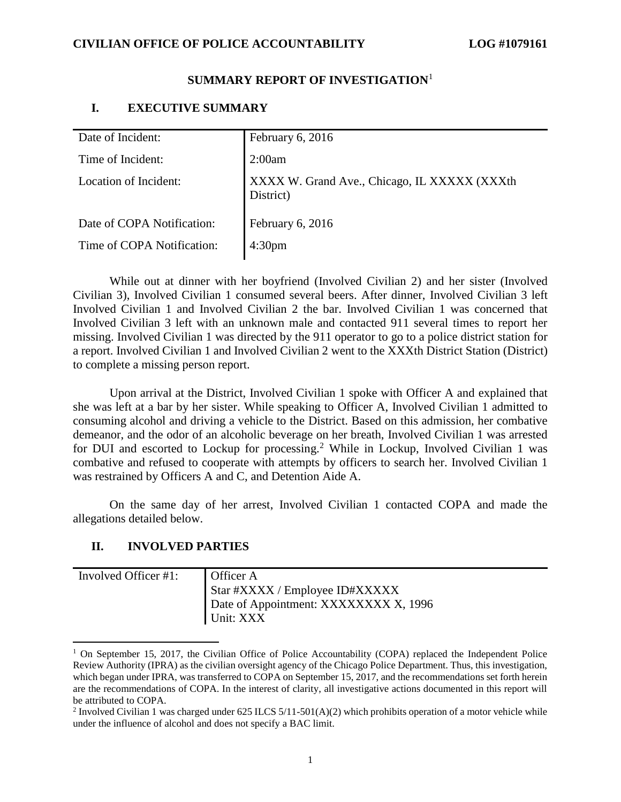## **SUMMARY REPORT OF INVESTIGATION**<sup>1</sup>

## **I. EXECUTIVE SUMMARY**

| Date of Incident:          | February 6, 2016                                          |
|----------------------------|-----------------------------------------------------------|
| Time of Incident:          | 2:00am                                                    |
| Location of Incident:      | XXXX W. Grand Ave., Chicago, IL XXXXX (XXXth<br>District) |
| Date of COPA Notification: | February 6, 2016                                          |
| Time of COPA Notification: | 4:30 <sub>pm</sub>                                        |
|                            |                                                           |

While out at dinner with her boyfriend (Involved Civilian 2) and her sister (Involved Civilian 3), Involved Civilian 1 consumed several beers. After dinner, Involved Civilian 3 left Involved Civilian 1 and Involved Civilian 2 the bar. Involved Civilian 1 was concerned that Involved Civilian 3 left with an unknown male and contacted 911 several times to report her missing. Involved Civilian 1 was directed by the 911 operator to go to a police district station for a report. Involved Civilian 1 and Involved Civilian 2 went to the XXXth District Station (District) to complete a missing person report.

Upon arrival at the District, Involved Civilian 1 spoke with Officer A and explained that she was left at a bar by her sister. While speaking to Officer A, Involved Civilian 1 admitted to consuming alcohol and driving a vehicle to the District. Based on this admission, her combative demeanor, and the odor of an alcoholic beverage on her breath, Involved Civilian 1 was arrested for DUI and escorted to Lockup for processing.<sup>2</sup> While in Lockup, Involved Civilian 1 was combative and refused to cooperate with attempts by officers to search her. Involved Civilian 1 was restrained by Officers A and C, and Detention Aide A.

On the same day of her arrest, Involved Civilian 1 contacted COPA and made the allegations detailed below.

## **II. INVOLVED PARTIES**

| Involved Officer #1: | <b>Officer A</b><br>Star #XXXX / Employee ID#XXXXX |
|----------------------|----------------------------------------------------|
|                      | Date of Appointment: XXXXXXXX X, 1996<br>Unit: XXX |

 $1$  On September 15, 2017, the Civilian Office of Police Accountability (COPA) replaced the Independent Police Review Authority (IPRA) as the civilian oversight agency of the Chicago Police Department. Thus, this investigation, which began under IPRA, was transferred to COPA on September 15, 2017, and the recommendations set forth herein are the recommendations of COPA. In the interest of clarity, all investigative actions documented in this report will be attributed to COPA.

<sup>&</sup>lt;sup>2</sup> Involved Civilian 1 was charged under 625 ILCS  $5/11-501(A)(2)$  which prohibits operation of a motor vehicle while under the influence of alcohol and does not specify a BAC limit.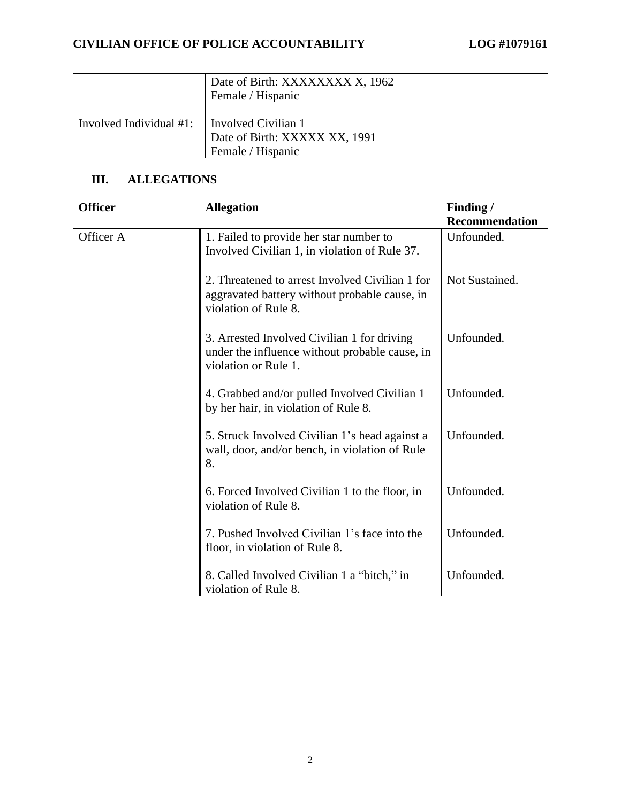|                                               | Date of Birth: XXXXXXXX X, 1962<br>Female / Hispanic |
|-----------------------------------------------|------------------------------------------------------|
| Involved Individual #1:   Involved Civilian 1 | Date of Birth: XXXXX XX, 1991<br>Female / Hispanic   |

# **III. ALLEGATIONS**

| <b>Officer</b> | <b>Allegation</b>                                                                                                        | Finding /             |
|----------------|--------------------------------------------------------------------------------------------------------------------------|-----------------------|
|                |                                                                                                                          | <b>Recommendation</b> |
| Officer A      | 1. Failed to provide her star number to<br>Involved Civilian 1, in violation of Rule 37.                                 | Unfounded.            |
|                | 2. Threatened to arrest Involved Civilian 1 for<br>aggravated battery without probable cause, in<br>violation of Rule 8. | Not Sustained.        |
|                | 3. Arrested Involved Civilian 1 for driving<br>under the influence without probable cause, in<br>violation or Rule 1.    | Unfounded.            |
|                | 4. Grabbed and/or pulled Involved Civilian 1<br>by her hair, in violation of Rule 8.                                     | Unfounded.            |
|                | 5. Struck Involved Civilian 1's head against a<br>wall, door, and/or bench, in violation of Rule<br>8.                   | Unfounded.            |
|                | 6. Forced Involved Civilian 1 to the floor, in<br>violation of Rule 8.                                                   | Unfounded.            |
|                | 7. Pushed Involved Civilian 1's face into the<br>floor, in violation of Rule 8.                                          | Unfounded.            |
|                | 8. Called Involved Civilian 1 a "bitch," in<br>violation of Rule 8.                                                      | Unfounded.            |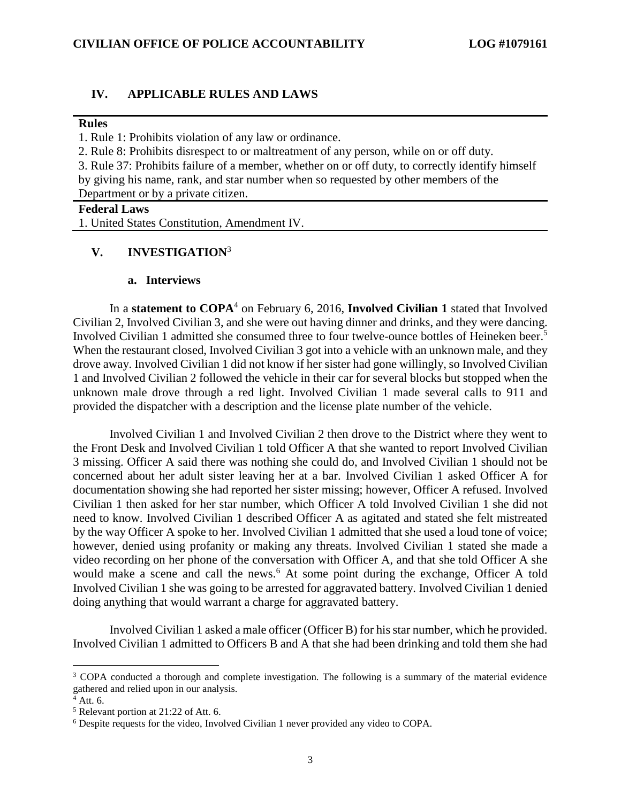### **IV. APPLICABLE RULES AND LAWS**

#### **Rules**

1. Rule 1: Prohibits violation of any law or ordinance.

2. Rule 8: Prohibits disrespect to or maltreatment of any person, while on or off duty.

3. Rule 37: Prohibits failure of a member, whether on or off duty, to correctly identify himself by giving his name, rank, and star number when so requested by other members of the Department or by a private citizen.

## **Federal Laws**

1. United States Constitution, Amendment IV.

### **V. INVESTIGATION**<sup>3</sup>

#### **a. Interviews**

In a **statement to COPA<sup>4</sup>** on February 6, 2016, **Involved Civilian 1** stated that Involved Civilian 2, Involved Civilian 3, and she were out having dinner and drinks, and they were dancing. Involved Civilian 1 admitted she consumed three to four twelve-ounce bottles of Heineken beer. 5 When the restaurant closed, Involved Civilian 3 got into a vehicle with an unknown male, and they drove away. Involved Civilian 1 did not know if her sister had gone willingly, so Involved Civilian 1 and Involved Civilian 2 followed the vehicle in their car for several blocks but stopped when the unknown male drove through a red light. Involved Civilian 1 made several calls to 911 and provided the dispatcher with a description and the license plate number of the vehicle.

Involved Civilian 1 and Involved Civilian 2 then drove to the District where they went to the Front Desk and Involved Civilian 1 told Officer A that she wanted to report Involved Civilian 3 missing. Officer A said there was nothing she could do, and Involved Civilian 1 should not be concerned about her adult sister leaving her at a bar. Involved Civilian 1 asked Officer A for documentation showing she had reported her sister missing; however, Officer A refused. Involved Civilian 1 then asked for her star number, which Officer A told Involved Civilian 1 she did not need to know. Involved Civilian 1 described Officer A as agitated and stated she felt mistreated by the way Officer A spoke to her. Involved Civilian 1 admitted that she used a loud tone of voice; however, denied using profanity or making any threats. Involved Civilian 1 stated she made a video recording on her phone of the conversation with Officer A, and that she told Officer A she would make a scene and call the news.<sup>6</sup> At some point during the exchange, Officer A told Involved Civilian 1 she was going to be arrested for aggravated battery. Involved Civilian 1 denied doing anything that would warrant a charge for aggravated battery.

Involved Civilian 1 asked a male officer (Officer B) for his star number, which he provided. Involved Civilian 1 admitted to Officers B and A that she had been drinking and told them she had

l

<sup>&</sup>lt;sup>3</sup> COPA conducted a thorough and complete investigation. The following is a summary of the material evidence gathered and relied upon in our analysis.

 $4$  Att. 6.

<sup>5</sup> Relevant portion at 21:22 of Att. 6.

<sup>6</sup> Despite requests for the video, Involved Civilian 1 never provided any video to COPA.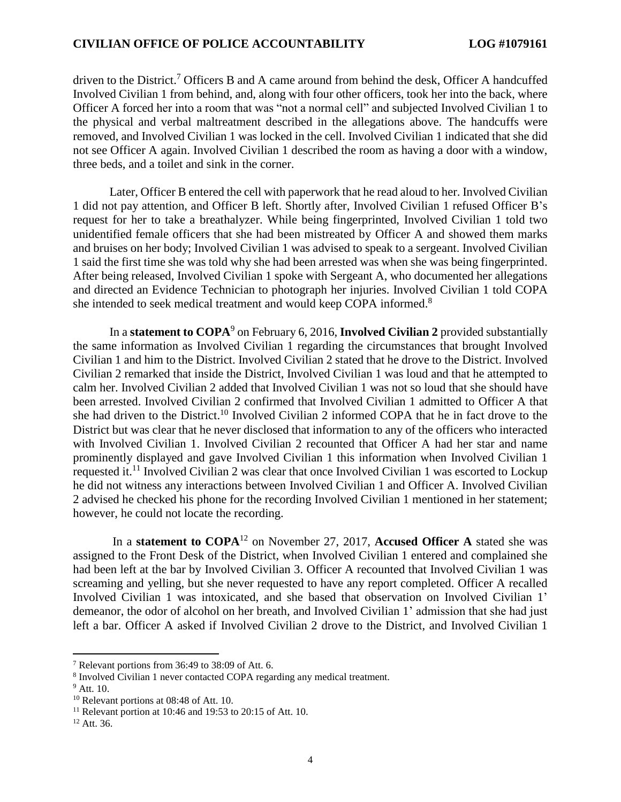driven to the District.<sup>7</sup> Officers B and A came around from behind the desk, Officer A handcuffed Involved Civilian 1 from behind, and, along with four other officers, took her into the back, where Officer A forced her into a room that was "not a normal cell" and subjected Involved Civilian 1 to the physical and verbal maltreatment described in the allegations above. The handcuffs were removed, and Involved Civilian 1 was locked in the cell. Involved Civilian 1 indicated that she did not see Officer A again. Involved Civilian 1 described the room as having a door with a window, three beds, and a toilet and sink in the corner.

Later, Officer B entered the cell with paperwork that he read aloud to her. Involved Civilian 1 did not pay attention, and Officer B left. Shortly after, Involved Civilian 1 refused Officer B's request for her to take a breathalyzer. While being fingerprinted, Involved Civilian 1 told two unidentified female officers that she had been mistreated by Officer A and showed them marks and bruises on her body; Involved Civilian 1 was advised to speak to a sergeant. Involved Civilian 1 said the first time she was told why she had been arrested was when she was being fingerprinted. After being released, Involved Civilian 1 spoke with Sergeant A, who documented her allegations and directed an Evidence Technician to photograph her injuries. Involved Civilian 1 told COPA she intended to seek medical treatment and would keep COPA informed.<sup>8</sup>

In a **statement to COPA**<sup>9</sup> on February 6, 2016, **Involved Civilian 2** provided substantially the same information as Involved Civilian 1 regarding the circumstances that brought Involved Civilian 1 and him to the District. Involved Civilian 2 stated that he drove to the District. Involved Civilian 2 remarked that inside the District, Involved Civilian 1 was loud and that he attempted to calm her. Involved Civilian 2 added that Involved Civilian 1 was not so loud that she should have been arrested. Involved Civilian 2 confirmed that Involved Civilian 1 admitted to Officer A that she had driven to the District.<sup>10</sup> Involved Civilian 2 informed COPA that he in fact drove to the District but was clear that he never disclosed that information to any of the officers who interacted with Involved Civilian 1. Involved Civilian 2 recounted that Officer A had her star and name prominently displayed and gave Involved Civilian 1 this information when Involved Civilian 1 requested it.<sup>11</sup> Involved Civilian 2 was clear that once Involved Civilian 1 was escorted to Lockup he did not witness any interactions between Involved Civilian 1 and Officer A. Involved Civilian 2 advised he checked his phone for the recording Involved Civilian 1 mentioned in her statement; however, he could not locate the recording.

In a **statement to COPA**<sup>12</sup> on November 27, 2017, **Accused Officer A** stated she was assigned to the Front Desk of the District, when Involved Civilian 1 entered and complained she had been left at the bar by Involved Civilian 3. Officer A recounted that Involved Civilian 1 was screaming and yelling, but she never requested to have any report completed. Officer A recalled Involved Civilian 1 was intoxicated, and she based that observation on Involved Civilian 1' demeanor, the odor of alcohol on her breath, and Involved Civilian 1' admission that she had just left a bar. Officer A asked if Involved Civilian 2 drove to the District, and Involved Civilian 1

<sup>7</sup> Relevant portions from 36:49 to 38:09 of Att. 6.

<sup>&</sup>lt;sup>8</sup> Involved Civilian 1 never contacted COPA regarding any medical treatment.

 $9$  Att. 10.

<sup>10</sup> Relevant portions at 08:48 of Att. 10.

<sup>&</sup>lt;sup>11</sup> Relevant portion at 10:46 and 19:53 to 20:15 of Att. 10.

 $12$  Att. 36.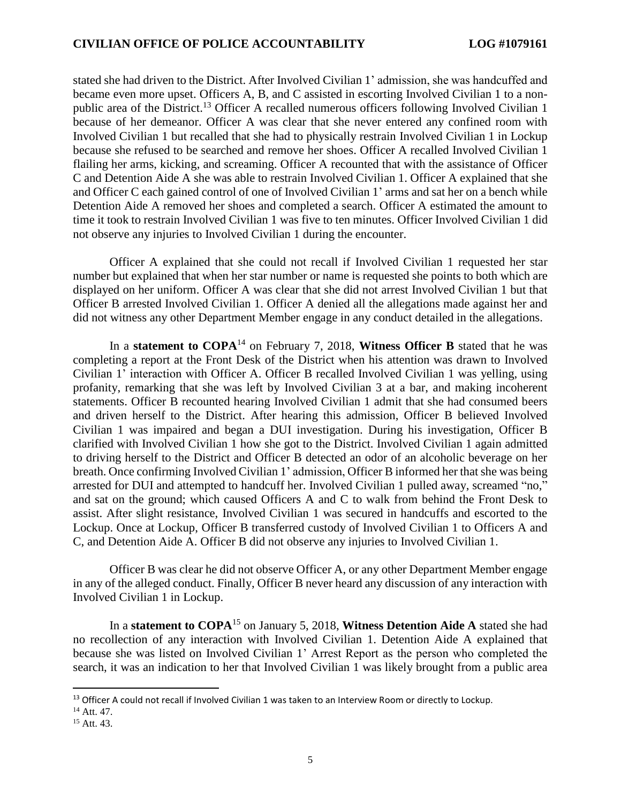stated she had driven to the District. After Involved Civilian 1' admission, she was handcuffed and became even more upset. Officers A, B, and C assisted in escorting Involved Civilian 1 to a nonpublic area of the District.<sup>13</sup> Officer A recalled numerous officers following Involved Civilian 1 because of her demeanor. Officer A was clear that she never entered any confined room with Involved Civilian 1 but recalled that she had to physically restrain Involved Civilian 1 in Lockup because she refused to be searched and remove her shoes. Officer A recalled Involved Civilian 1 flailing her arms, kicking, and screaming. Officer A recounted that with the assistance of Officer C and Detention Aide A she was able to restrain Involved Civilian 1. Officer A explained that she and Officer C each gained control of one of Involved Civilian 1' arms and sat her on a bench while Detention Aide A removed her shoes and completed a search. Officer A estimated the amount to time it took to restrain Involved Civilian 1 was five to ten minutes. Officer Involved Civilian 1 did not observe any injuries to Involved Civilian 1 during the encounter.

Officer A explained that she could not recall if Involved Civilian 1 requested her star number but explained that when her star number or name is requested she points to both which are displayed on her uniform. Officer A was clear that she did not arrest Involved Civilian 1 but that Officer B arrested Involved Civilian 1. Officer A denied all the allegations made against her and did not witness any other Department Member engage in any conduct detailed in the allegations.

In a **statement to COPA**<sup>14</sup> on February 7, 2018, **Witness Officer B** stated that he was completing a report at the Front Desk of the District when his attention was drawn to Involved Civilian 1' interaction with Officer A. Officer B recalled Involved Civilian 1 was yelling, using profanity, remarking that she was left by Involved Civilian 3 at a bar, and making incoherent statements. Officer B recounted hearing Involved Civilian 1 admit that she had consumed beers and driven herself to the District. After hearing this admission, Officer B believed Involved Civilian 1 was impaired and began a DUI investigation. During his investigation, Officer B clarified with Involved Civilian 1 how she got to the District. Involved Civilian 1 again admitted to driving herself to the District and Officer B detected an odor of an alcoholic beverage on her breath. Once confirming Involved Civilian 1' admission, Officer B informed her that she was being arrested for DUI and attempted to handcuff her. Involved Civilian 1 pulled away, screamed "no," and sat on the ground; which caused Officers A and C to walk from behind the Front Desk to assist. After slight resistance, Involved Civilian 1 was secured in handcuffs and escorted to the Lockup. Once at Lockup, Officer B transferred custody of Involved Civilian 1 to Officers A and C, and Detention Aide A. Officer B did not observe any injuries to Involved Civilian 1.

Officer B was clear he did not observe Officer A, or any other Department Member engage in any of the alleged conduct. Finally, Officer B never heard any discussion of any interaction with Involved Civilian 1 in Lockup.

In a **statement to COPA**<sup>15</sup> on January 5, 2018, **Witness Detention Aide A** stated she had no recollection of any interaction with Involved Civilian 1. Detention Aide A explained that because she was listed on Involved Civilian 1' Arrest Report as the person who completed the search, it was an indication to her that Involved Civilian 1 was likely brought from a public area

<sup>&</sup>lt;sup>13</sup> Officer A could not recall if Involved Civilian 1 was taken to an Interview Room or directly to Lockup.

<sup>14</sup> Att. 47.

<sup>&</sup>lt;sup>15</sup> Att. 43.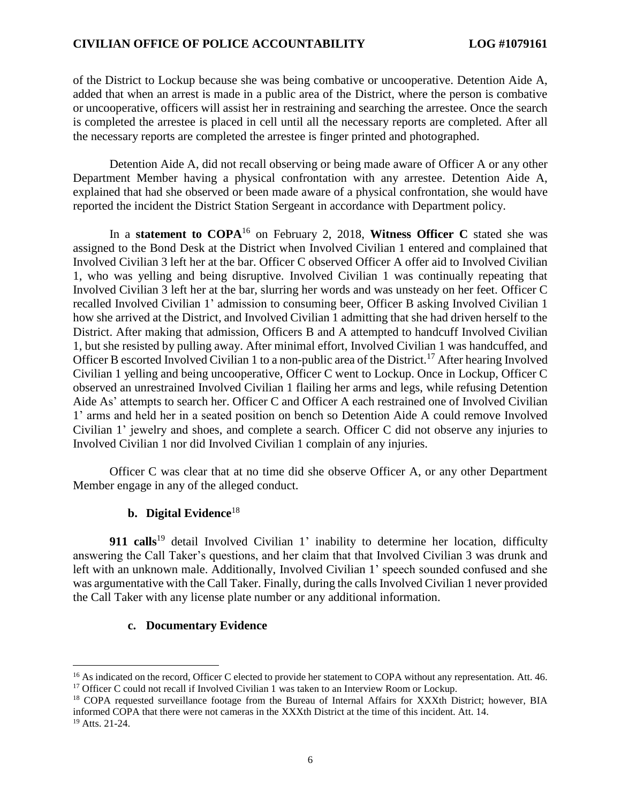of the District to Lockup because she was being combative or uncooperative. Detention Aide A, added that when an arrest is made in a public area of the District, where the person is combative or uncooperative, officers will assist her in restraining and searching the arrestee. Once the search is completed the arrestee is placed in cell until all the necessary reports are completed. After all the necessary reports are completed the arrestee is finger printed and photographed.

Detention Aide A, did not recall observing or being made aware of Officer A or any other Department Member having a physical confrontation with any arrestee. Detention Aide A, explained that had she observed or been made aware of a physical confrontation, she would have reported the incident the District Station Sergeant in accordance with Department policy.

In a **statement to COPA**<sup>16</sup> on February 2, 2018, **Witness Officer C** stated she was assigned to the Bond Desk at the District when Involved Civilian 1 entered and complained that Involved Civilian 3 left her at the bar. Officer C observed Officer A offer aid to Involved Civilian 1, who was yelling and being disruptive. Involved Civilian 1 was continually repeating that Involved Civilian 3 left her at the bar, slurring her words and was unsteady on her feet. Officer C recalled Involved Civilian 1' admission to consuming beer, Officer B asking Involved Civilian 1 how she arrived at the District, and Involved Civilian 1 admitting that she had driven herself to the District. After making that admission, Officers B and A attempted to handcuff Involved Civilian 1, but she resisted by pulling away. After minimal effort, Involved Civilian 1 was handcuffed, and Officer B escorted Involved Civilian 1 to a non-public area of the District.<sup>17</sup> After hearing Involved Civilian 1 yelling and being uncooperative, Officer C went to Lockup. Once in Lockup, Officer C observed an unrestrained Involved Civilian 1 flailing her arms and legs, while refusing Detention Aide As' attempts to search her. Officer C and Officer A each restrained one of Involved Civilian 1' arms and held her in a seated position on bench so Detention Aide A could remove Involved Civilian 1' jewelry and shoes, and complete a search. Officer C did not observe any injuries to Involved Civilian 1 nor did Involved Civilian 1 complain of any injuries.

Officer C was clear that at no time did she observe Officer A, or any other Department Member engage in any of the alleged conduct.

## **b. Digital Evidence**<sup>18</sup>

**911 calls**<sup>19</sup> detail Involved Civilian 1' inability to determine her location, difficulty answering the Call Taker's questions, and her claim that that Involved Civilian 3 was drunk and left with an unknown male. Additionally, Involved Civilian 1' speech sounded confused and she was argumentative with the Call Taker. Finally, during the calls Involved Civilian 1 never provided the Call Taker with any license plate number or any additional information.

## **c. Documentary Evidence**

l

<sup>&</sup>lt;sup>16</sup> As indicated on the record, Officer C elected to provide her statement to COPA without any representation. Att. 46. <sup>17</sup> Officer C could not recall if Involved Civilian 1 was taken to an Interview Room or Lockup.

<sup>&</sup>lt;sup>18</sup> COPA requested surveillance footage from the Bureau of Internal Affairs for XXXth District; however, BIA informed COPA that there were not cameras in the XXXth District at the time of this incident. Att. 14.

<sup>19</sup> Atts. 21-24.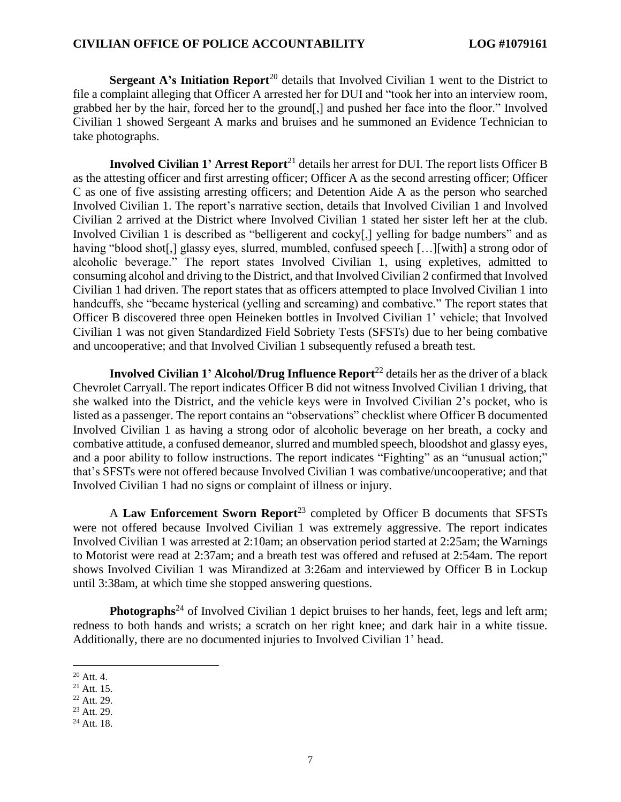**Sergeant A's Initiation Report**<sup>20</sup> details that Involved Civilian 1 went to the District to file a complaint alleging that Officer A arrested her for DUI and "took her into an interview room, grabbed her by the hair, forced her to the ground[,] and pushed her face into the floor." Involved Civilian 1 showed Sergeant A marks and bruises and he summoned an Evidence Technician to take photographs.

**Involved Civilian 1' Arrest Report**<sup>21</sup> details her arrest for DUI. The report lists Officer B as the attesting officer and first arresting officer; Officer A as the second arresting officer; Officer C as one of five assisting arresting officers; and Detention Aide A as the person who searched Involved Civilian 1. The report's narrative section, details that Involved Civilian 1 and Involved Civilian 2 arrived at the District where Involved Civilian 1 stated her sister left her at the club. Involved Civilian 1 is described as "belligerent and cocky[,] yelling for badge numbers" and as having "blood shot[,] glassy eyes, slurred, mumbled, confused speech [...][with] a strong odor of alcoholic beverage." The report states Involved Civilian 1, using expletives, admitted to consuming alcohol and driving to the District, and that Involved Civilian 2 confirmed that Involved Civilian 1 had driven. The report states that as officers attempted to place Involved Civilian 1 into handcuffs, she "became hysterical (yelling and screaming) and combative." The report states that Officer B discovered three open Heineken bottles in Involved Civilian 1' vehicle; that Involved Civilian 1 was not given Standardized Field Sobriety Tests (SFSTs) due to her being combative and uncooperative; and that Involved Civilian 1 subsequently refused a breath test.

**Involved Civilian 1' Alcohol/Drug Influence Report<sup>22</sup> details her as the driver of a black** Chevrolet Carryall. The report indicates Officer B did not witness Involved Civilian 1 driving, that she walked into the District, and the vehicle keys were in Involved Civilian 2's pocket, who is listed as a passenger. The report contains an "observations" checklist where Officer B documented Involved Civilian 1 as having a strong odor of alcoholic beverage on her breath, a cocky and combative attitude, a confused demeanor, slurred and mumbled speech, bloodshot and glassy eyes, and a poor ability to follow instructions. The report indicates "Fighting" as an "unusual action;" that's SFSTs were not offered because Involved Civilian 1 was combative/uncooperative; and that Involved Civilian 1 had no signs or complaint of illness or injury.

A **Law Enforcement Sworn Report**<sup>23</sup> completed by Officer B documents that SFSTs were not offered because Involved Civilian 1 was extremely aggressive. The report indicates Involved Civilian 1 was arrested at 2:10am; an observation period started at 2:25am; the Warnings to Motorist were read at 2:37am; and a breath test was offered and refused at 2:54am. The report shows Involved Civilian 1 was Mirandized at 3:26am and interviewed by Officer B in Lockup until 3:38am, at which time she stopped answering questions.

**Photographs**<sup>24</sup> of Involved Civilian 1 depict bruises to her hands, feet, legs and left arm; redness to both hands and wrists; a scratch on her right knee; and dark hair in a white tissue. Additionally, there are no documented injuries to Involved Civilian 1' head.

l <sup>20</sup> Att. 4.

 $21$  Att. 15.

<sup>22</sup> Att. 29.

<sup>23</sup> Att. 29.

<sup>&</sup>lt;sup>24</sup> Att. 18.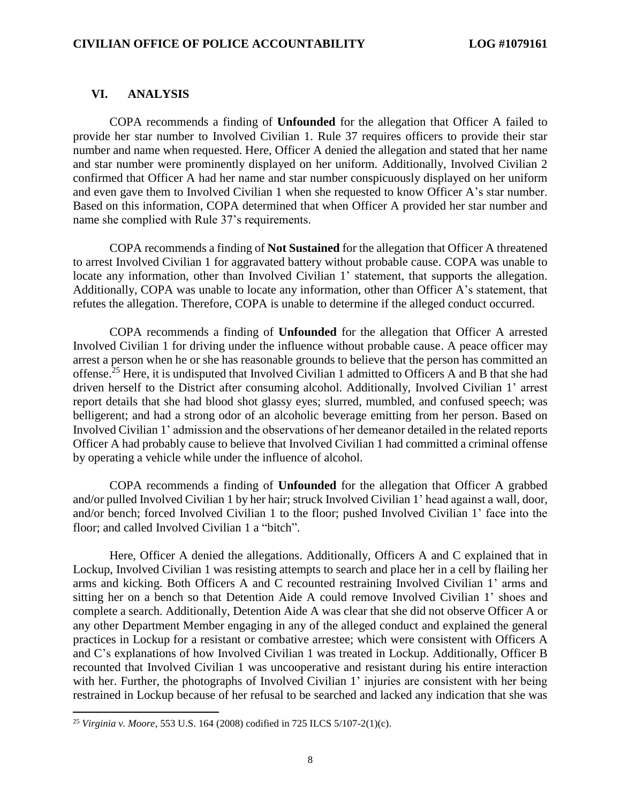### **VI. ANALYSIS**

COPA recommends a finding of **Unfounded** for the allegation that Officer A failed to provide her star number to Involved Civilian 1. Rule 37 requires officers to provide their star number and name when requested. Here, Officer A denied the allegation and stated that her name and star number were prominently displayed on her uniform. Additionally, Involved Civilian 2 confirmed that Officer A had her name and star number conspicuously displayed on her uniform and even gave them to Involved Civilian 1 when she requested to know Officer A's star number. Based on this information, COPA determined that when Officer A provided her star number and name she complied with Rule 37's requirements.

COPA recommends a finding of **Not Sustained** for the allegation that Officer A threatened to arrest Involved Civilian 1 for aggravated battery without probable cause. COPA was unable to locate any information, other than Involved Civilian 1' statement, that supports the allegation. Additionally, COPA was unable to locate any information, other than Officer A's statement, that refutes the allegation. Therefore, COPA is unable to determine if the alleged conduct occurred.

COPA recommends a finding of **Unfounded** for the allegation that Officer A arrested Involved Civilian 1 for driving under the influence without probable cause. A peace officer may arrest a person when he or she has reasonable grounds to believe that the person has committed an offense.<sup>25</sup> Here, it is undisputed that Involved Civilian 1 admitted to Officers A and B that she had driven herself to the District after consuming alcohol. Additionally, Involved Civilian 1' arrest report details that she had blood shot glassy eyes; slurred, mumbled, and confused speech; was belligerent; and had a strong odor of an alcoholic beverage emitting from her person. Based on Involved Civilian 1' admission and the observations of her demeanor detailed in the related reports Officer A had probably cause to believe that Involved Civilian 1 had committed a criminal offense by operating a vehicle while under the influence of alcohol.

COPA recommends a finding of **Unfounded** for the allegation that Officer A grabbed and/or pulled Involved Civilian 1 by her hair; struck Involved Civilian 1' head against a wall, door, and/or bench; forced Involved Civilian 1 to the floor; pushed Involved Civilian 1' face into the floor; and called Involved Civilian 1 a "bitch".

Here, Officer A denied the allegations. Additionally, Officers A and C explained that in Lockup, Involved Civilian 1 was resisting attempts to search and place her in a cell by flailing her arms and kicking. Both Officers A and C recounted restraining Involved Civilian 1' arms and sitting her on a bench so that Detention Aide A could remove Involved Civilian 1' shoes and complete a search. Additionally, Detention Aide A was clear that she did not observe Officer A or any other Department Member engaging in any of the alleged conduct and explained the general practices in Lockup for a resistant or combative arrestee; which were consistent with Officers A and C's explanations of how Involved Civilian 1 was treated in Lockup. Additionally, Officer B recounted that Involved Civilian 1 was uncooperative and resistant during his entire interaction with her. Further, the photographs of Involved Civilian 1' injuries are consistent with her being restrained in Lockup because of her refusal to be searched and lacked any indication that she was

<sup>25</sup> *Virginia v. Moore,* 553 U.S. 164 (2008) codified in 725 ILCS 5/107-2(1)(c).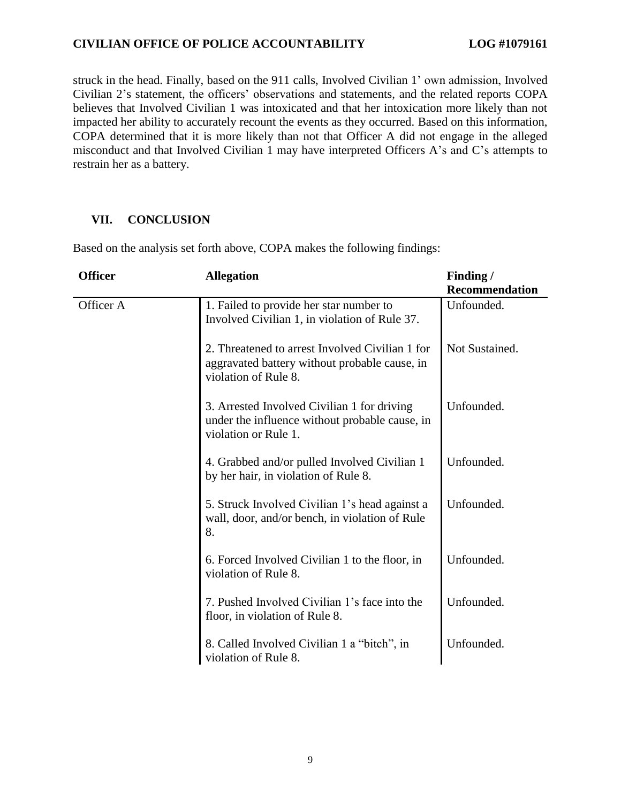struck in the head. Finally, based on the 911 calls, Involved Civilian 1' own admission, Involved Civilian 2's statement, the officers' observations and statements, and the related reports COPA believes that Involved Civilian 1 was intoxicated and that her intoxication more likely than not impacted her ability to accurately recount the events as they occurred. Based on this information, COPA determined that it is more likely than not that Officer A did not engage in the alleged misconduct and that Involved Civilian 1 may have interpreted Officers A's and C's attempts to restrain her as a battery.

## **VII. CONCLUSION**

| <b>Officer</b> | <b>Allegation</b>                                                                                                        | Finding /<br><b>Recommendation</b> |
|----------------|--------------------------------------------------------------------------------------------------------------------------|------------------------------------|
| Officer A      | 1. Failed to provide her star number to<br>Involved Civilian 1, in violation of Rule 37.                                 | Unfounded.                         |
|                | 2. Threatened to arrest Involved Civilian 1 for<br>aggravated battery without probable cause, in<br>violation of Rule 8. | Not Sustained.                     |
|                | 3. Arrested Involved Civilian 1 for driving<br>under the influence without probable cause, in<br>violation or Rule 1.    | Unfounded.                         |
|                | 4. Grabbed and/or pulled Involved Civilian 1<br>by her hair, in violation of Rule 8.                                     | Unfounded.                         |
|                | 5. Struck Involved Civilian 1's head against a<br>wall, door, and/or bench, in violation of Rule<br>8.                   | Unfounded.                         |
|                | 6. Forced Involved Civilian 1 to the floor, in<br>violation of Rule 8.                                                   | Unfounded.                         |
|                | 7. Pushed Involved Civilian 1's face into the<br>floor, in violation of Rule 8.                                          | Unfounded.                         |
|                | 8. Called Involved Civilian 1 a "bitch", in<br>violation of Rule 8.                                                      | Unfounded.                         |

Based on the analysis set forth above, COPA makes the following findings: